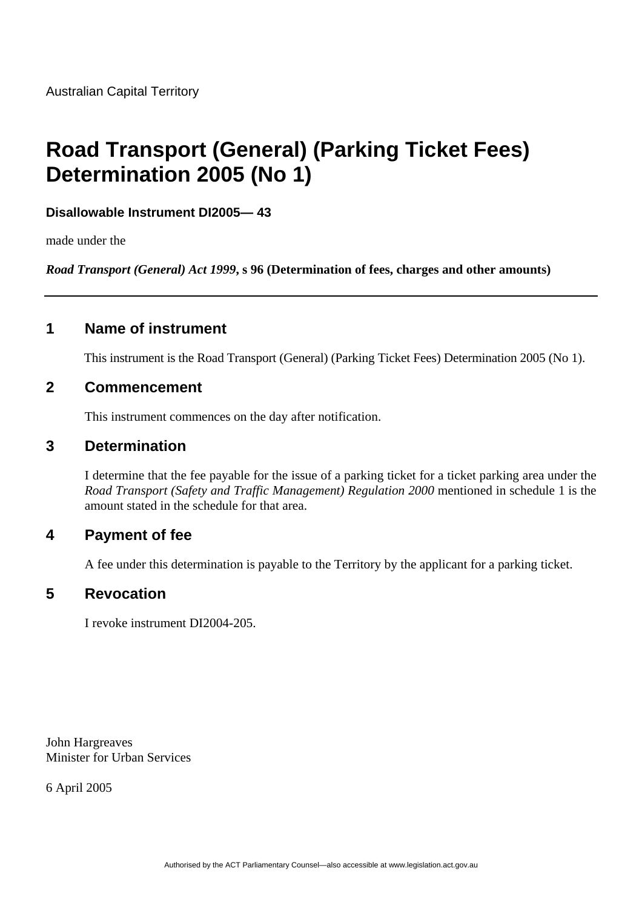# **Road Transport (General) (Parking Ticket Fees) Determination 2005 (No 1)**

#### **Disallowable Instrument DI2005— 43**

made under the

*Road Transport (General) Act 1999***, s 96 (Determination of fees, charges and other amounts)**

## **1 Name of instrument**

This instrument is the Road Transport (General) (Parking Ticket Fees) Determination 2005 (No 1).

#### **2 Commencement**

This instrument commences on the day after notification.

#### **3 Determination**

I determine that the fee payable for the issue of a parking ticket for a ticket parking area under the *Road Transport (Safety and Traffic Management) Regulation 2000* mentioned in schedule 1 is the amount stated in the schedule for that area.

#### **4 Payment of fee**

A fee under this determination is payable to the Territory by the applicant for a parking ticket.

#### **5 Revocation**

I revoke instrument DI2004-205.

John Hargreaves Minister for Urban Services

6 April 2005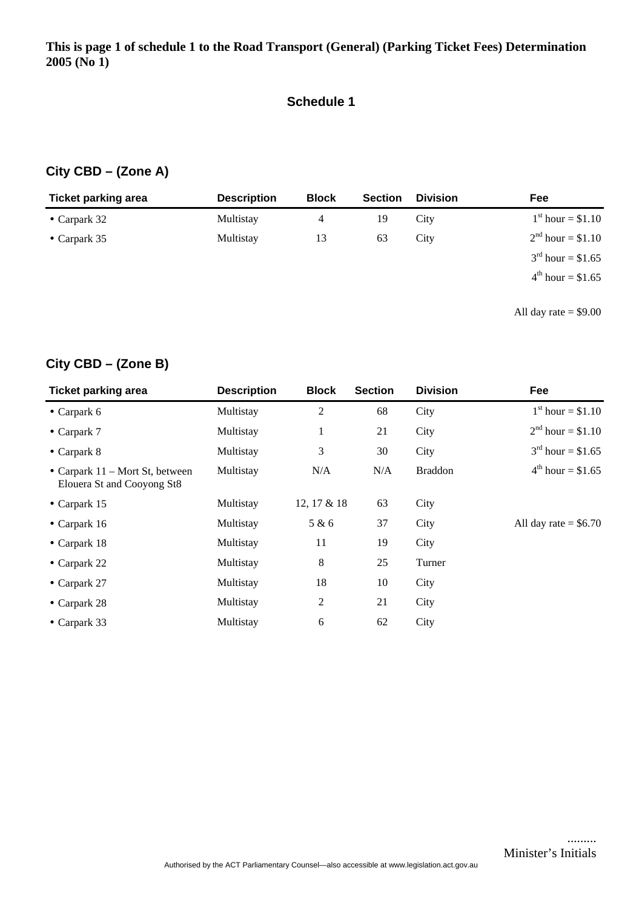#### **Schedule 1**

## **City CBD – (Zone A)**

| <b>Ticket parking area</b> | <b>Description</b> | <b>Block</b> | <b>Section</b> | <b>Division</b> | Fee                        |
|----------------------------|--------------------|--------------|----------------|-----------------|----------------------------|
| $\bullet$ Carpark 32       | Multistay          | 4            | 19             | City            | $1^{\rm st}$ hour = \$1.10 |
| • Carpark $35$             | Multistay          | 13           | 63             | City            | $2^{nd}$ hour = \$1.10     |
|                            |                    |              |                |                 | $3^{rd}$ hour = \$1.65     |
|                            |                    |              |                |                 | $4^{th}$ hour = \$1.65     |
|                            |                    |              |                |                 |                            |

All day rate = \$9.00

## **City CBD – (Zone B)**

| <b>Ticket parking area</b>                                      | <b>Description</b> | <b>Block</b>   | <b>Section</b> | <b>Division</b> | Fee                        |
|-----------------------------------------------------------------|--------------------|----------------|----------------|-----------------|----------------------------|
| $\bullet$ Carpark 6                                             | Multistay          | $\overline{c}$ | 68             | City            | $1^{\rm st}$ hour = \$1.10 |
| $\bullet$ Carpark 7                                             | Multistay          | 1              | 21             | City            | $2^{nd}$ hour = \$1.10     |
| $\bullet$ Carpark 8                                             | Multistay          | 3              | 30             | City            | $3^{rd}$ hour = \$1.65     |
| • Carpark $11 -$ Mort St, between<br>Elouera St and Cooyong St8 | Multistay          | N/A            | N/A            | <b>Braddon</b>  | $4^{th}$ hour = \$1.65     |
| $\bullet$ Carpark 15                                            | Multistay          | 12, 17 & 18    | 63             | City            |                            |
| • Carpark $16$                                                  | Multistay          | 5 & 6          | 37             | City            | All day rate $=$ \$6.70    |
| • Carpark $18$                                                  | Multistay          | 11             | 19             | City            |                            |
| • Carpark $22$                                                  | Multistay          | 8              | 25             | Turner          |                            |
| $\bullet$ Carpark 27                                            | Multistay          | 18             | 10             | City            |                            |
| $\bullet$ Carpark 28                                            | Multistay          | 2              | 21             | City            |                            |
| $\bullet$ Carpark 33                                            | Multistay          | 6              | 62             | City            |                            |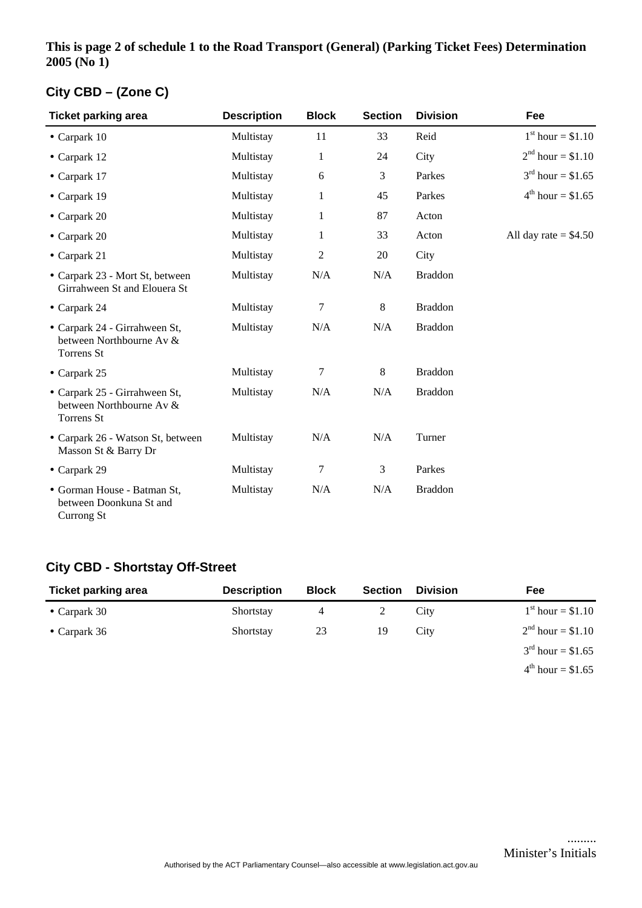#### **This is page 2 of schedule 1 to the Road Transport (General) (Parking Ticket Fees) Determination 2005 (No 1)**

## **City CBD – (Zone C)**

| <b>Ticket parking area</b>                                              | <b>Description</b> | <b>Block</b>   | <b>Section</b> | <b>Division</b> | Fee                        |
|-------------------------------------------------------------------------|--------------------|----------------|----------------|-----------------|----------------------------|
| $\bullet$ Carpark 10                                                    | Multistay          | 11             | 33             | Reid            | $1^{\rm st}$ hour = \$1.10 |
| $\bullet$ Carpark 12                                                    | Multistay          | $\mathbf{1}$   | 24             | City            | $2nd hour = $1.10$         |
| $\bullet$ Carpark 17                                                    | Multistay          | 6              | 3              | Parkes          | $3^{rd}$ hour = \$1.65     |
| $\bullet$ Carpark 19                                                    | Multistay          | 1              | 45             | Parkes          | $4^{th}$ hour = \$1.65     |
| $\bullet$ Carpark 20                                                    | Multistay          | 1              | 87             | Acton           |                            |
| $\bullet$ Carpark 20                                                    | Multistay          | 1              | 33             | Acton           | All day rate $= $4.50$     |
| $\bullet$ Carpark 21                                                    | Multistay          | $\overline{2}$ | 20             | City            |                            |
| • Carpark 23 - Mort St, between<br>Girrahween St and Elouera St         | Multistay          | N/A            | N/A            | <b>Braddon</b>  |                            |
| $\bullet$ Carpark 24                                                    | Multistay          | 7              | 8              | <b>Braddon</b>  |                            |
| • Carpark 24 - Girrahween St,<br>between Northbourne Av &<br>Torrens St | Multistay          | N/A            | N/A            | <b>Braddon</b>  |                            |
| $\bullet$ Carpark 25                                                    | Multistay          | 7              | $\,8\,$        | <b>Braddon</b>  |                            |
| • Carpark 25 - Girrahween St,<br>between Northbourne Av &<br>Torrens St | Multistay          | N/A            | N/A            | <b>Braddon</b>  |                            |
| • Carpark 26 - Watson St, between<br>Masson St & Barry Dr               | Multistay          | N/A            | N/A            | Turner          |                            |
| • Carpark 29                                                            | Multistay          | 7              | 3              | Parkes          |                            |
| • Gorman House - Batman St,<br>between Doonkuna St and<br>Currong St    | Multistay          | N/A            | N/A            | <b>Braddon</b>  |                            |

## **City CBD - Shortstay Off-Street**

| <b>Ticket parking area</b> | <b>Description</b> | <b>Block</b> | <b>Section</b> | <b>Division</b> | Fee                           |
|----------------------------|--------------------|--------------|----------------|-----------------|-------------------------------|
| • Carpark $30$             | Shortstay          | 4            |                | City            | $1^{\rm st}$ hour = \$1.10    |
| • Carpark $36$             | Shortstay          | 23           | 19             | City            | $2^{nd}$ hour = \$1.10        |
|                            |                    |              |                |                 | $3^{\text{rd}}$ hour = \$1.65 |
|                            |                    |              |                |                 | $4^{th}$ hour = \$1.65        |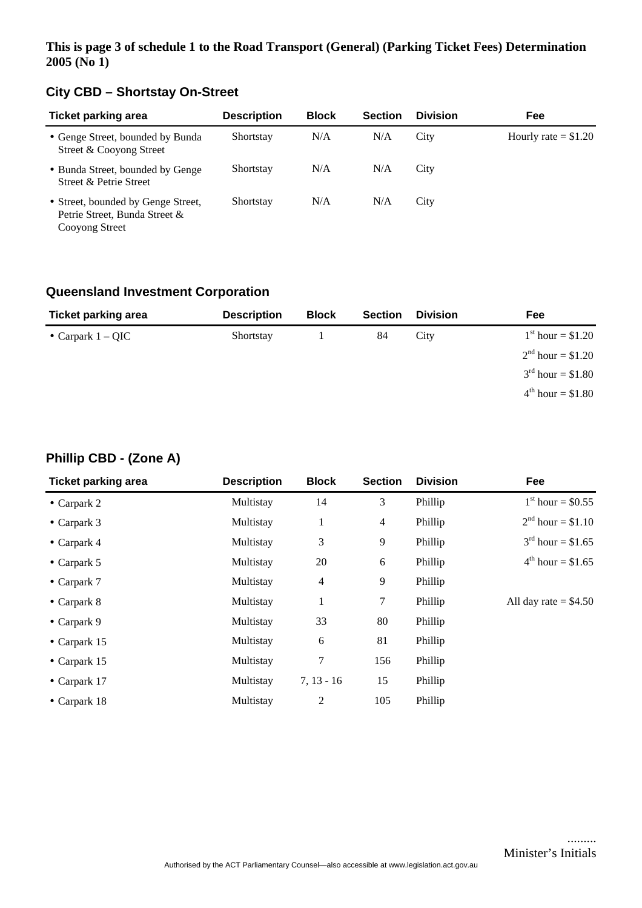#### **This is page 3 of schedule 1 to the Road Transport (General) (Parking Ticket Fees) Determination 2005 (No 1)**

## **City CBD – Shortstay On-Street**

| <b>Ticket parking area</b>                                                            | <b>Description</b> | <b>Block</b> | <b>Section</b> | <b>Division</b> | Fee                   |
|---------------------------------------------------------------------------------------|--------------------|--------------|----------------|-----------------|-----------------------|
| • Genge Street, bounded by Bunda<br>Street & Cooyong Street                           | Shortstay          | N/A          | N/A            | City            | Hourly rate $= $1.20$ |
| • Bunda Street, bounded by Genge<br>Street & Petrie Street                            | Shortstay          | N/A          | N/A            | City            |                       |
| • Street, bounded by Genge Street,<br>Petrie Street, Bunda Street &<br>Cooyong Street | Shortstay          | N/A          | N/A            | City            |                       |

## **Queensland Investment Corporation**

| <b>Ticket parking area</b> | <b>Description</b> | <b>Block</b> | <b>Section</b> | <b>Division</b> | Fee                    |
|----------------------------|--------------------|--------------|----------------|-----------------|------------------------|
| • Carpark $1 - QIC$        | Shortstay          |              | 84             | City            | $1st hour = $1.20$     |
|                            |                    |              |                |                 | $2nd hour = $1.20$     |
|                            |                    |              |                |                 | $3^{rd}$ hour = \$1.80 |
|                            |                    |              |                |                 | $4^{th}$ hour = \$1.80 |

## **Phillip CBD - (Zone A)**

| <b>Ticket parking area</b> | <b>Description</b> | <b>Block</b>   | <b>Section</b> | <b>Division</b> | Fee                        |
|----------------------------|--------------------|----------------|----------------|-----------------|----------------------------|
| $\bullet$ Carpark 2        | Multistay          | 14             | 3              | Phillip         | $1^{\rm st}$ hour = \$0.55 |
| $\bullet$ Carpark 3        | Multistay          | 1              | $\overline{4}$ | Phillip         | $2^{nd}$ hour = \$1.10     |
| $\bullet$ Carpark 4        | Multistay          | 3              | 9              | Phillip         | $3^{rd}$ hour = \$1.65     |
| • Carpark $5$              | Multistay          | 20             | 6              | Phillip         | $4^{th}$ hour = \$1.65     |
| $\bullet$ Carpark 7        | Multistay          | $\overline{4}$ | 9              | Phillip         |                            |
| $\bullet$ Carpark 8        | Multistay          | 1              | 7              | Phillip         | All day rate $= $4.50$     |
| $\bullet$ Carpark 9        | Multistay          | 33             | 80             | Phillip         |                            |
| $\bullet$ Carpark 15       | Multistay          | 6              | 81             | Phillip         |                            |
| $\bullet$ Carpark 15       | Multistay          | 7              | 156            | Phillip         |                            |
| $\bullet$ Carpark 17       | Multistay          | $7, 13 - 16$   | 15             | Phillip         |                            |
| $\bullet$ Carpark 18       | Multistay          | $\overline{2}$ | 105            | Phillip         |                            |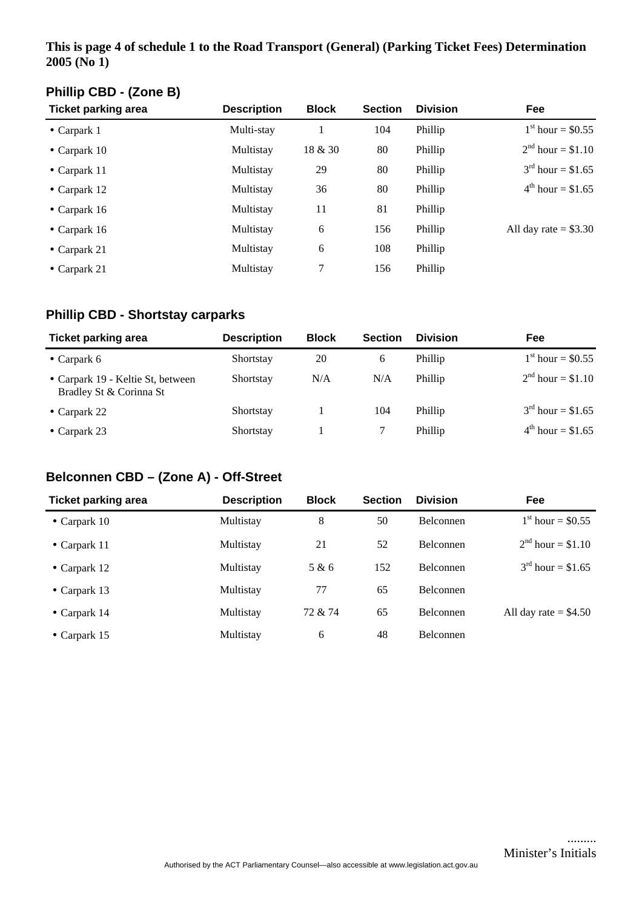#### **This is page 4 of schedule 1 to the Road Transport (General) (Parking Ticket Fees) Determination 2005 (No 1)**

## **Phillip CBD - (Zone B)**

| <b>Ticket parking area</b> | <b>Description</b> | <b>Block</b> | <b>Section</b> | <b>Division</b> | Fee                        |
|----------------------------|--------------------|--------------|----------------|-----------------|----------------------------|
| $\bullet$ Carpark 1        | Multi-stay         |              | 104            | Phillip         | $1^{\rm st}$ hour = \$0.55 |
| • Carpark $10$             | Multistay          | 18 & 30      | 80             | Phillip         | $2nd hour = $1.10$         |
| $\bullet$ Carpark 11       | Multistay          | 29           | 80             | Phillip         | $3^{rd}$ hour = \$1.65     |
| • Carpark $12$             | Multistay          | 36           | 80             | Phillip         | $4^{th}$ hour = \$1.65     |
| • Carpark $16$             | Multistay          | 11           | 81             | Phillip         |                            |
| • Carpark $16$             | Multistay          | 6            | 156            | Phillip         | All day rate $= $3.30$     |
| • Carpark 21               | Multistay          | 6            | 108            | Phillip         |                            |
| • Carpark $21$             | Multistay          | 7            | 156            | Phillip         |                            |

## **Phillip CBD - Shortstay carparks**

| <b>Ticket parking area</b>                                   | <b>Description</b> | <b>Block</b> | <b>Section</b> | <b>Division</b> | Fee                           |
|--------------------------------------------------------------|--------------------|--------------|----------------|-----------------|-------------------------------|
| • Carpark $6$                                                | Shortstay          | 20           | 6              | Phillip         | $1^{\rm st}$ hour = \$0.55    |
| • Carpark 19 - Keltie St, between<br>Bradley St & Corinna St | Shortstay          | N/A          | N/A            | Phillip         | $2^{nd}$ hour = \$1.10        |
| • Carpark 22                                                 | Shortstay          |              | 104            | Phillip         | $3^{\text{rd}}$ hour = \$1.65 |
| • Carpark $23$                                               | Shortstay          |              |                | Phillip         | $4^{th}$ hour = \$1.65        |

#### **Belconnen CBD – (Zone A) - Off-Street**

| <b>Ticket parking area</b> | <b>Description</b> | <b>Block</b> | <b>Section</b> | <b>Division</b>  | Fee                     |
|----------------------------|--------------------|--------------|----------------|------------------|-------------------------|
| • Carpark $10$             | Multistay          | 8            | 50             | <b>Belconnen</b> | $1st$ hour = \$0.55     |
| • Carpark $11$             | Multistay          | 21           | 52             | <b>Belconnen</b> | $2^{nd}$ hour = \$1.10  |
| • Carpark $12$             | Multistay          | 5 & 6        | 152            | Belconnen        | $3^{rd}$ hour = \$1.65  |
| • Carpark $13$             | Multistay          | 77           | 65             | Belconnen        |                         |
| • Carpark $14$             | Multistay          | 72 & 74      | 65             | Belconnen        | All day rate $=$ \$4.50 |
| • Carpark $15$             | Multistay          | 6            | 48             | <b>Belconnen</b> |                         |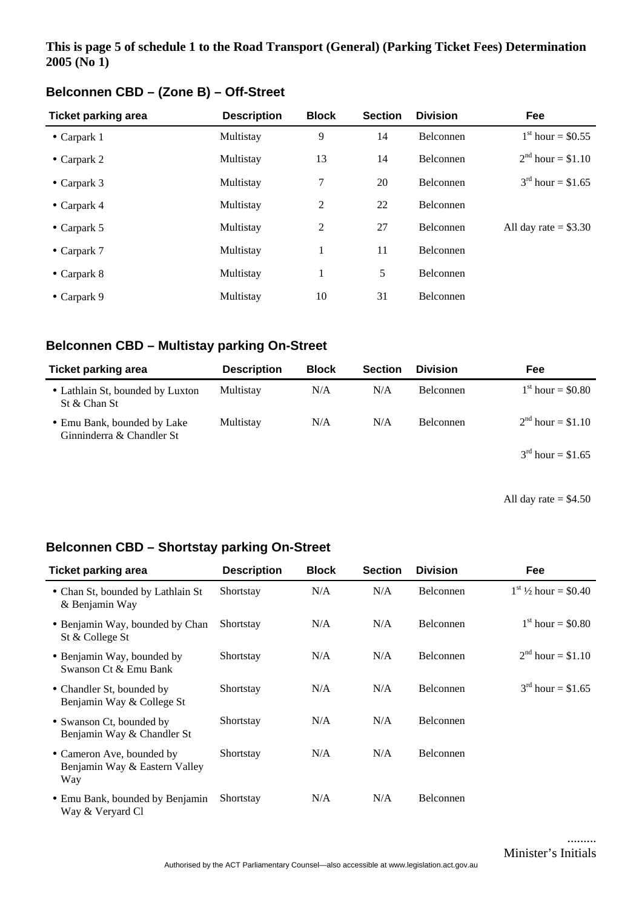#### **This is page 5 of schedule 1 to the Road Transport (General) (Parking Ticket Fees) Determination 2005 (No 1)**

| <b>Ticket parking area</b> | <b>Description</b> | <b>Block</b>   | <b>Section</b> | <b>Division</b>  | Fee                    |
|----------------------------|--------------------|----------------|----------------|------------------|------------------------|
| $\bullet$ Carpark 1        | Multistay          | 9              | 14             | Belconnen        | $1st hour = $0.55$     |
| • Carpark $2$              | Multistay          | 13             | 14             | Belconnen        | $2^{nd}$ hour = \$1.10 |
| • Carpark $3$              | Multistay          | 7              | 20             | Belconnen        | $3^{rd}$ hour = \$1.65 |
| $\bullet$ Carpark 4        | Multistay          | 2              | 22             | Belconnen        |                        |
| • Carpark $5$              | Multistay          | $\overline{2}$ | 27             | Belconnen        | All day rate $= $3.30$ |
| $\bullet$ Carpark 7        | Multistay          | 1              | 11             | Belconnen        |                        |
| • Carpark $8$              | Multistay          | 1              | 5              | Belconnen        |                        |
| • Carpark $9$              | Multistay          | 10             | 31             | <b>Belconnen</b> |                        |

## **Belconnen CBD – (Zone B) – Off-Street**

## **Belconnen CBD – Multistay parking On-Street**

| Ticket parking area                                      | <b>Description</b> | <b>Block</b> | <b>Section</b> | <b>Division</b>  | Fee                    |
|----------------------------------------------------------|--------------------|--------------|----------------|------------------|------------------------|
| • Lathlain St, bounded by Luxton<br>St & Chan St         | Multistay          | N/A          | N/A            | <b>Belconnen</b> | $1st hour = $0.80$     |
| • Emu Bank, bounded by Lake<br>Ginninderra & Chandler St | Multistay          | N/A          | N/A            | <b>Belconnen</b> | $2nd hour = $1.10$     |
|                                                          |                    |              |                |                  | $3^{rd}$ hour = \$1.65 |

All day rate = \$4.50

#### **Belconnen CBD – Shortstay parking On-Street**

| <b>Ticket parking area</b>                                        | <b>Description</b> | <b>Block</b> | <b>Section</b> | <b>Division</b>  | Fee                        |
|-------------------------------------------------------------------|--------------------|--------------|----------------|------------------|----------------------------|
| • Chan St, bounded by Lathlain St<br>& Benjamin Way               | Shortstay          | N/A          | N/A            | Belconnen        | $1^{st}$ 1/2 hour = \$0.40 |
| • Benjamin Way, bounded by Chan<br>St & College St                | Shortstay          | N/A          | N/A            | Belconnen        | $1st$ hour = \$0.80        |
| • Benjamin Way, bounded by<br>Swanson Ct & Emu Bank               | Shortstay          | N/A          | N/A            | <b>Belconnen</b> | $2^{nd}$ hour = \$1.10     |
| • Chandler St, bounded by<br>Benjamin Way & College St            | Shortstay          | N/A          | N/A            | <b>Belconnen</b> | $3^{rd}$ hour = \$1.65     |
| • Swanson Ct, bounded by<br>Benjamin Way & Chandler St            | Shortstay          | N/A          | N/A            | Belconnen        |                            |
| • Cameron Ave, bounded by<br>Benjamin Way & Eastern Valley<br>Way | Shortstay          | N/A          | N/A            | <b>Belconnen</b> |                            |
| • Emu Bank, bounded by Benjamin<br>Way & Veryard Cl               | Shortstay          | N/A          | N/A            | Belconnen        |                            |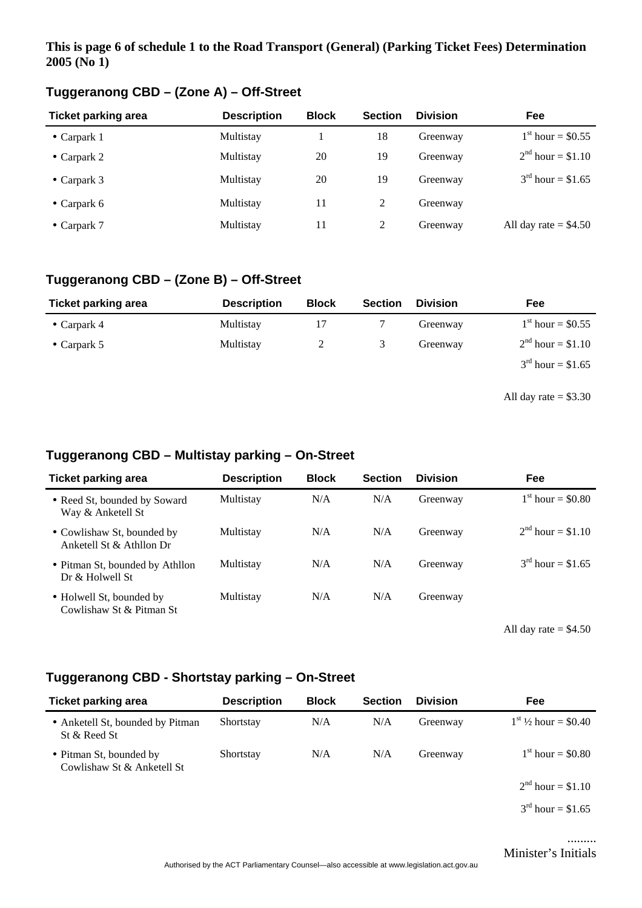#### **This is page 6 of schedule 1 to the Road Transport (General) (Parking Ticket Fees) Determination 2005 (No 1)**

| <b>Ticket parking area</b> | <b>Description</b> | <b>Block</b> | <b>Section</b> | <b>Division</b> | <b>Fee</b>              |
|----------------------------|--------------------|--------------|----------------|-----------------|-------------------------|
| • Carpark $1$              | Multistay          |              | 18             | Greenway        | $1st hour = $0.55$      |
| • Carpark 2                | Multistay          | 20           | 19             | Greenway        | $2nd hour = $1.10$      |
| • Carpark $3$              | Multistay          | 20           | 19             | Greenway        | $3^{rd}$ hour = \$1.65  |
| • Carpark $6$              | Multistay          | 11           | 2              | Greenway        |                         |
| $\bullet$ Carpark 7        | Multistay          | 11           | 2              | Greenway        | All day rate $=$ \$4.50 |

## **Tuggeranong CBD – (Zone A) – Off-Street**

## **Tuggeranong CBD – (Zone B) – Off-Street**

| <b>Ticket parking area</b> | <b>Description</b> | <b>Block</b> | <b>Section</b> | <b>Division</b> | Fee                        |
|----------------------------|--------------------|--------------|----------------|-----------------|----------------------------|
| • Carpark 4                | Multistay          |              |                | Greenway        | $1^{\rm st}$ hour = \$0.55 |
| • Carpark $5$              | Multistay          |              |                | Greenway        | $2nd hour = $1.10$         |
|                            |                    |              |                |                 | $3^{rd}$ hour = \$1.65     |
|                            |                    |              |                |                 |                            |

All day rate  $= $3.30$ 

## **Tuggeranong CBD – Multistay parking – On-Street**

| <b>Ticket parking area</b>                             | <b>Description</b> | <b>Block</b> | <b>Section</b> | <b>Division</b> | Fee                    |
|--------------------------------------------------------|--------------------|--------------|----------------|-----------------|------------------------|
| • Reed St, bounded by Soward<br>Way & Anketell St      | Multistay          | N/A          | N/A            | Greenway        | $1st hour = $0.80$     |
| • Cowlishaw St, bounded by<br>Anketell St & Athllon Dr | Multistay          | N/A          | N/A            | Greenway        | $2^{nd}$ hour = \$1.10 |
| • Pitman St, bounded by Athllon<br>Dr & Holwell St     | Multistay          | N/A          | N/A            | Greenway        | $3^{rd}$ hour = \$1.65 |
| • Holwell St, bounded by<br>Cowlishaw St & Pitman St   | Multistay          | N/A          | N/A            | Greenway        |                        |

All day rate  $= $4.50$ 

## **Tuggeranong CBD - Shortstay parking – On-Street**

| <b>Ticket parking area</b>                            | <b>Description</b> | <b>Block</b> | <b>Section</b> | <b>Division</b> | <b>Fee</b>                 |
|-------------------------------------------------------|--------------------|--------------|----------------|-----------------|----------------------------|
| • Anketell St, bounded by Pitman<br>St & Reed St      | Shortstay          | N/A          | N/A            | Greenway        | $1^{st}$ 1/2 hour = \$0.40 |
| • Pitman St, bounded by<br>Cowlishaw St & Anketell St | Shortstay          | N/A          | N/A            | Greenway        | $1st hour = $0.80$         |
|                                                       |                    |              |                |                 | $2nd hour = $1.10$         |
|                                                       |                    |              |                |                 | $3^{rd}$ hour = \$1.65     |